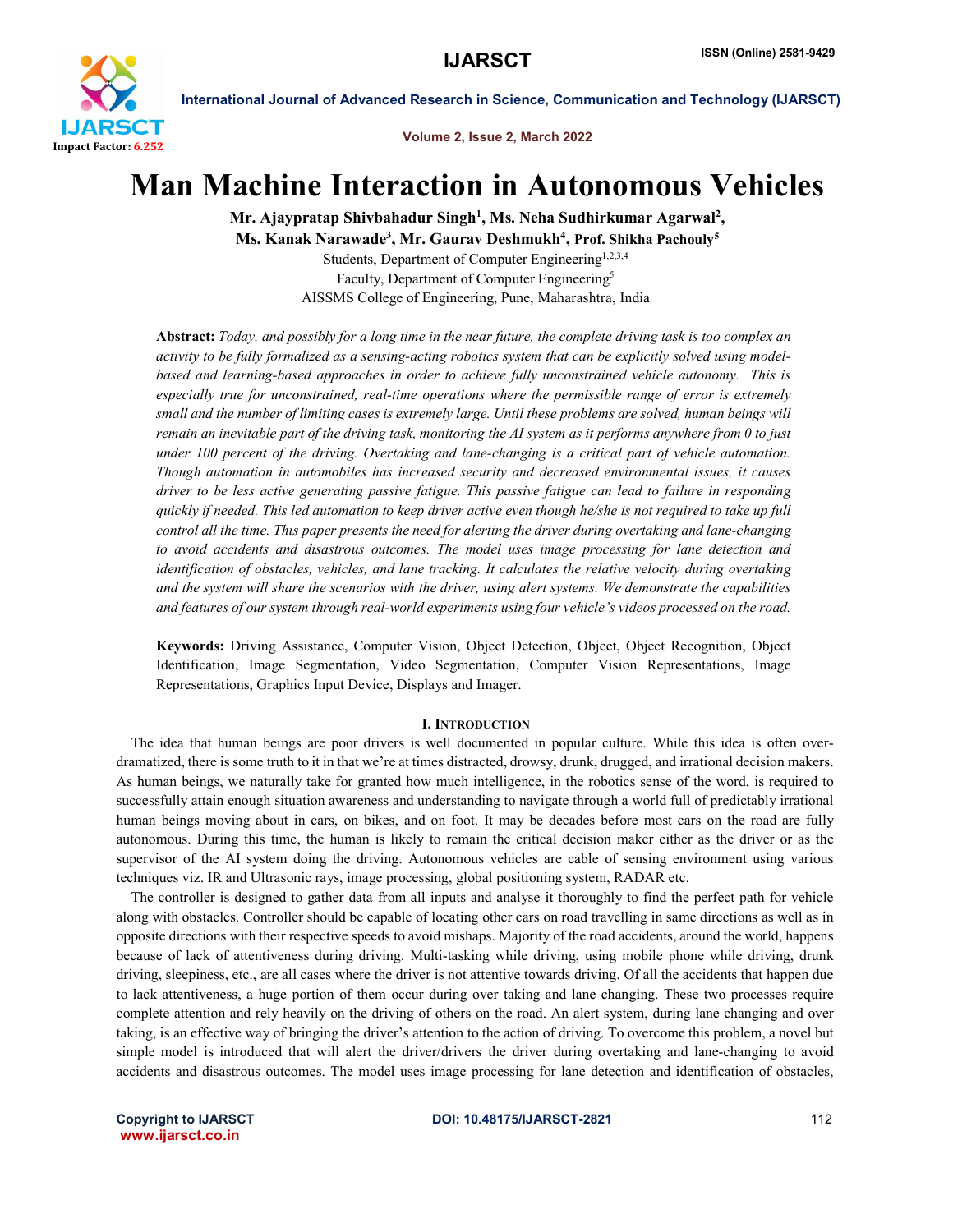

Volume 2, Issue 2, March 2022

# Man Machine Interaction in Autonomous Vehicles

Mr. Ajaypratap Shivbahadur Singh<sup>1</sup>, Ms. Neha Sudhirkumar Agarwal<sup>2</sup>, Ms. Kanak Narawade<sup>3</sup>, Mr. Gaurav Deshmukh<sup>4</sup>, Prof. Shikha Pachouly<sup>5</sup> Students, Department of Computer Engineering<sup>1,2,3,4</sup> Faculty, Department of Computer Engineering5 AISSMS College of Engineering, Pune, Maharashtra, India

Abstract: *Today, and possibly for a long time in the near future, the complete driving task is too complex an activity to be fully formalized as a sensing-acting robotics system that can be explicitly solved using modelbased and learning-based approaches in order to achieve fully unconstrained vehicle autonomy. This is especially true for unconstrained, real-time operations where the permissible range of error is extremely small and the number of limiting cases is extremely large. Until these problems are solved, human beings will remain an inevitable part of the driving task, monitoring the AI system as it performs anywhere from 0 to just under 100 percent of the driving. Overtaking and lane-changing is a critical part of vehicle automation. Though automation in automobiles has increased security and decreased environmental issues, it causes driver to be less active generating passive fatigue. This passive fatigue can lead to failure in responding quickly if needed. This led automation to keep driver active even though he/she is not required to take up full control all the time. This paper presents the need for alerting the driver during overtaking and lane-changing to avoid accidents and disastrous outcomes. The model uses image processing for lane detection and identification of obstacles, vehicles, and lane tracking. It calculates the relative velocity during overtaking and the system will share the scenarios with the driver, using alert systems. We demonstrate the capabilities and features of our system through real-world experiments using four vehicle's videos processed on the road.*

Keywords: Driving Assistance, Computer Vision, Object Detection, Object, Object Recognition, Object Identification, Image Segmentation, Video Segmentation, Computer Vision Representations, Image Representations, Graphics Input Device, Displays and Imager.

## I. INTRODUCTION

 The idea that human beings are poor drivers is well documented in popular culture. While this idea is often overdramatized, there is some truth to it in that we're at times distracted, drowsy, drunk, drugged, and irrational decision makers. As human beings, we naturally take for granted how much intelligence, in the robotics sense of the word, is required to successfully attain enough situation awareness and understanding to navigate through a world full of predictably irrational human beings moving about in cars, on bikes, and on foot. It may be decades before most cars on the road are fully autonomous. During this time, the human is likely to remain the critical decision maker either as the driver or as the supervisor of the AI system doing the driving. Autonomous vehicles are cable of sensing environment using various techniques viz. IR and Ultrasonic rays, image processing, global positioning system, RADAR etc.

 The controller is designed to gather data from all inputs and analyse it thoroughly to find the perfect path for vehicle along with obstacles. Controller should be capable of locating other cars on road travelling in same directions as well as in opposite directions with their respective speeds to avoid mishaps. Majority of the road accidents, around the world, happens because of lack of attentiveness during driving. Multi-tasking while driving, using mobile phone while driving, drunk driving, sleepiness, etc., are all cases where the driver is not attentive towards driving. Of all the accidents that happen due to lack attentiveness, a huge portion of them occur during over taking and lane changing. These two processes require complete attention and rely heavily on the driving of others on the road. An alert system, during lane changing and over taking, is an effective way of bringing the driver's attention to the action of driving. To overcome this problem, a novel but simple model is introduced that will alert the driver/drivers the driver during overtaking and lane-changing to avoid accidents and disastrous outcomes. The model uses image processing for lane detection and identification of obstacles,

www.ijarsct.co.in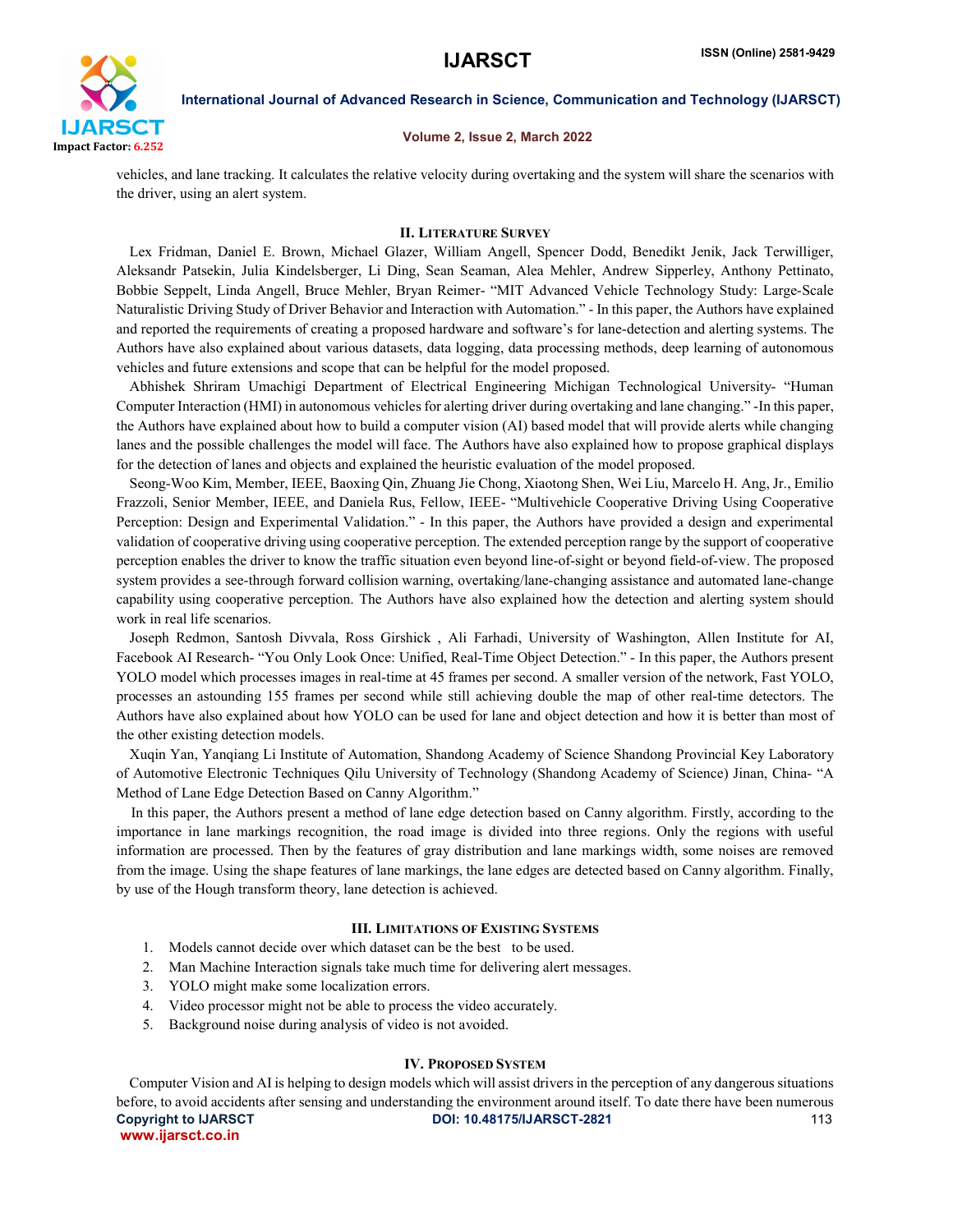

## Volume 2, Issue 2, March 2022

vehicles, and lane tracking. It calculates the relative velocity during overtaking and the system will share the scenarios with the driver, using an alert system.

### II. LITERATURE SURVEY

 Lex Fridman, Daniel E. Brown, Michael Glazer, William Angell, Spencer Dodd, Benedikt Jenik, Jack Terwilliger, Aleksandr Patsekin, Julia Kindelsberger, Li Ding, Sean Seaman, Alea Mehler, Andrew Sipperley, Anthony Pettinato, Bobbie Seppelt, Linda Angell, Bruce Mehler, Bryan Reimer- "MIT Advanced Vehicle Technology Study: Large-Scale Naturalistic Driving Study of Driver Behavior and Interaction with Automation." - In this paper, the Authors have explained and reported the requirements of creating a proposed hardware and software's for lane-detection and alerting systems. The Authors have also explained about various datasets, data logging, data processing methods, deep learning of autonomous vehicles and future extensions and scope that can be helpful for the model proposed.

 Abhishek Shriram Umachigi Department of Electrical Engineering Michigan Technological University- "Human Computer Interaction (HMI) in autonomous vehicles for alerting driver during overtaking and lane changing." -In this paper, the Authors have explained about how to build a computer vision (AI) based model that will provide alerts while changing lanes and the possible challenges the model will face. The Authors have also explained how to propose graphical displays for the detection of lanes and objects and explained the heuristic evaluation of the model proposed.

 Seong-Woo Kim, Member, IEEE, Baoxing Qin, Zhuang Jie Chong, Xiaotong Shen, Wei Liu, Marcelo H. Ang, Jr., Emilio Frazzoli, Senior Member, IEEE, and Daniela Rus, Fellow, IEEE- "Multivehicle Cooperative Driving Using Cooperative Perception: Design and Experimental Validation." - In this paper, the Authors have provided a design and experimental validation of cooperative driving using cooperative perception. The extended perception range by the support of cooperative perception enables the driver to know the traffic situation even beyond line-of-sight or beyond field-of-view. The proposed system provides a see-through forward collision warning, overtaking/lane-changing assistance and automated lane-change capability using cooperative perception. The Authors have also explained how the detection and alerting system should work in real life scenarios.

 Joseph Redmon, Santosh Divvala, Ross Girshick , Ali Farhadi, University of Washington, Allen Institute for AI, Facebook AI Research- "You Only Look Once: Unified, Real-Time Object Detection." - In this paper, the Authors present YOLO model which processes images in real-time at 45 frames per second. A smaller version of the network, Fast YOLO, processes an astounding 155 frames per second while still achieving double the map of other real-time detectors. The Authors have also explained about how YOLO can be used for lane and object detection and how it is better than most of the other existing detection models.

 Xuqin Yan, Yanqiang Li Institute of Automation, Shandong Academy of Science Shandong Provincial Key Laboratory of Automotive Electronic Techniques Qilu University of Technology (Shandong Academy of Science) Jinan, China- "A Method of Lane Edge Detection Based on Canny Algorithm."

 In this paper, the Authors present a method of lane edge detection based on Canny algorithm. Firstly, according to the importance in lane markings recognition, the road image is divided into three regions. Only the regions with useful information are processed. Then by the features of gray distribution and lane markings width, some noises are removed from the image. Using the shape features of lane markings, the lane edges are detected based on Canny algorithm. Finally, by use of the Hough transform theory, lane detection is achieved.

### III. LIMITATIONS OF EXISTING SYSTEMS

- 1. Models cannot decide over which dataset can be the best to be used.
- 2. Man Machine Interaction signals take much time for delivering alert messages.
- 3. YOLO might make some localization errors.
- 4. Video processor might not be able to process the video accurately.
- 5. Background noise during analysis of video is not avoided.

### IV. PROPOSED SYSTEM

Copyright to IJARSCT **DOI: 10.48175/IJARSCT-2821** 113 www.ijarsct.co.in Computer Vision and AI is helping to design models which will assist drivers in the perception of any dangerous situations before, to avoid accidents after sensing and understanding the environment around itself. To date there have been numerous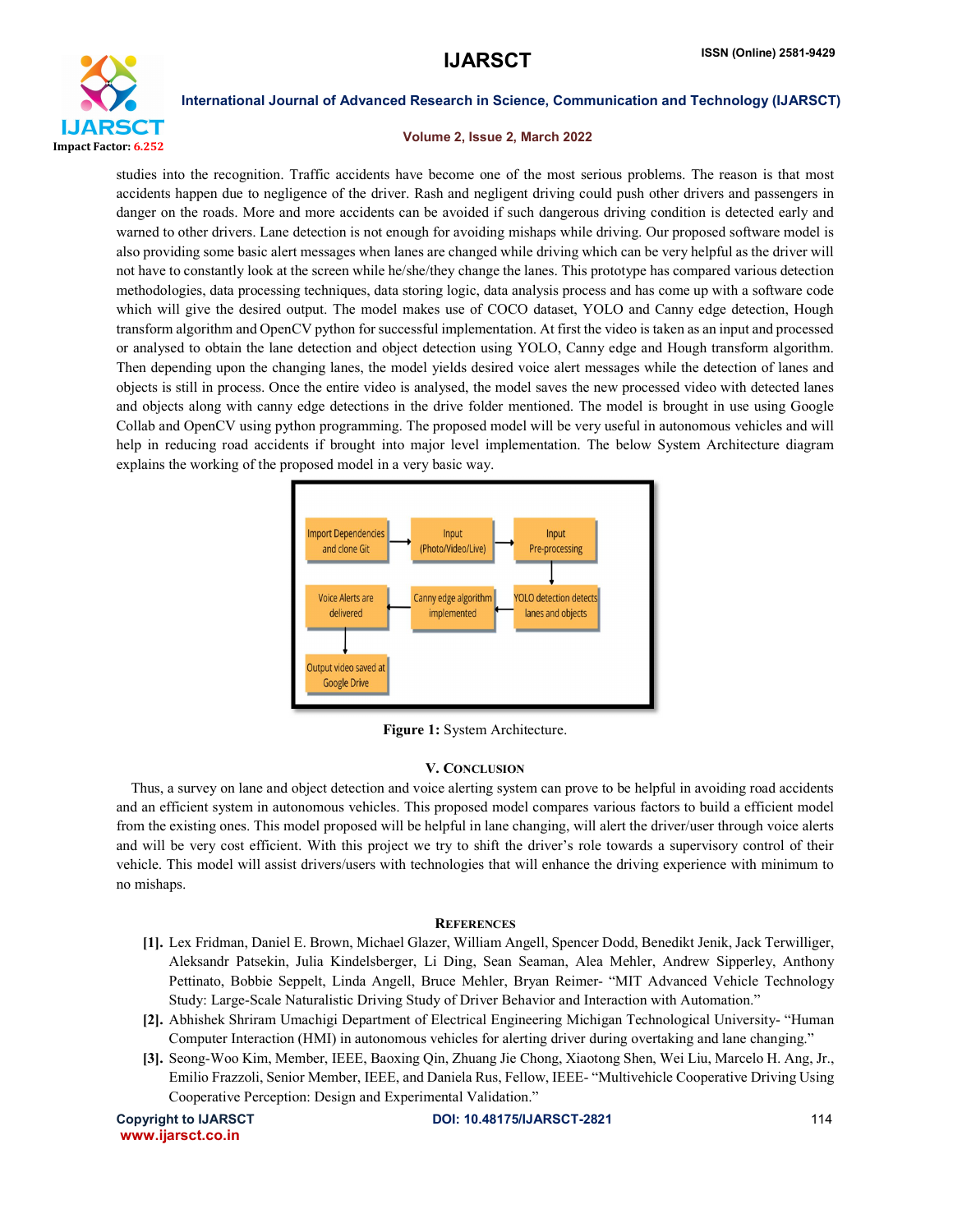

# Volume 2, Issue 2, March 2022

studies into the recognition. Traffic accidents have become one of the most serious problems. The reason is that most accidents happen due to negligence of the driver. Rash and negligent driving could push other drivers and passengers in danger on the roads. More and more accidents can be avoided if such dangerous driving condition is detected early and warned to other drivers. Lane detection is not enough for avoiding mishaps while driving. Our proposed software model is also providing some basic alert messages when lanes are changed while driving which can be very helpful as the driver will not have to constantly look at the screen while he/she/they change the lanes. This prototype has compared various detection methodologies, data processing techniques, data storing logic, data analysis process and has come up with a software code which will give the desired output. The model makes use of COCO dataset, YOLO and Canny edge detection, Hough transform algorithm and OpenCV python for successful implementation. At first the video is taken as an input and processed or analysed to obtain the lane detection and object detection using YOLO, Canny edge and Hough transform algorithm. Then depending upon the changing lanes, the model yields desired voice alert messages while the detection of lanes and objects is still in process. Once the entire video is analysed, the model saves the new processed video with detected lanes and objects along with canny edge detections in the drive folder mentioned. The model is brought in use using Google Collab and OpenCV using python programming. The proposed model will be very useful in autonomous vehicles and will help in reducing road accidents if brought into major level implementation. The below System Architecture diagram explains the working of the proposed model in a very basic way.



Figure 1: System Architecture.

# V. CONCLUSION

 Thus, a survey on lane and object detection and voice alerting system can prove to be helpful in avoiding road accidents and an efficient system in autonomous vehicles. This proposed model compares various factors to build a efficient model from the existing ones. This model proposed will be helpful in lane changing, will alert the driver/user through voice alerts and will be very cost efficient. With this project we try to shift the driver's role towards a supervisory control of their vehicle. This model will assist drivers/users with technologies that will enhance the driving experience with minimum to no mishaps.

# **REFERENCES**

- [1]. Lex Fridman, Daniel E. Brown, Michael Glazer, William Angell, Spencer Dodd, Benedikt Jenik, Jack Terwilliger, Aleksandr Patsekin, Julia Kindelsberger, Li Ding, Sean Seaman, Alea Mehler, Andrew Sipperley, Anthony Pettinato, Bobbie Seppelt, Linda Angell, Bruce Mehler, Bryan Reimer- "MIT Advanced Vehicle Technology Study: Large-Scale Naturalistic Driving Study of Driver Behavior and Interaction with Automation."
- [2]. Abhishek Shriram Umachigi Department of Electrical Engineering Michigan Technological University- "Human Computer Interaction (HMI) in autonomous vehicles for alerting driver during overtaking and lane changing."
- [3]. Seong-Woo Kim, Member, IEEE, Baoxing Qin, Zhuang Jie Chong, Xiaotong Shen, Wei Liu, Marcelo H. Ang, Jr., Emilio Frazzoli, Senior Member, IEEE, and Daniela Rus, Fellow, IEEE- "Multivehicle Cooperative Driving Using Cooperative Perception: Design and Experimental Validation."

www.ijarsct.co.in

Copyright to IJARSCT DOI: 10.48175/IJARSCT-2821 114